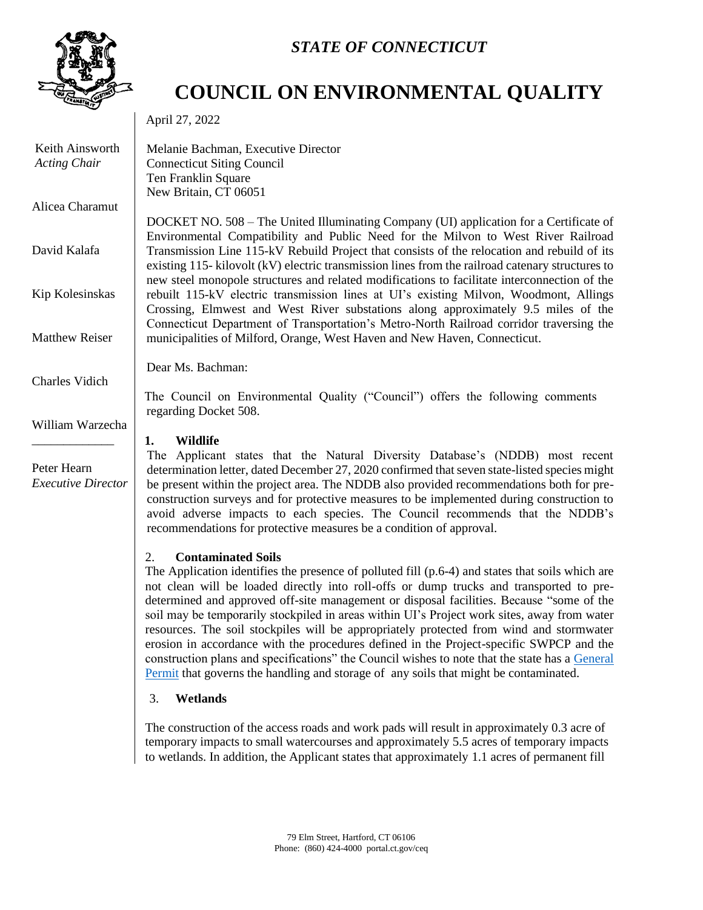

Keith Ainsworth *Acting Chair*

Alicea Charamut

David Kalafa

Kip Kolesinskas

Matthew Reiser

Charles Vidich

Peter Hearn

William Warzecha \_\_\_\_\_\_\_\_\_\_\_\_\_

*Executive Director*

# *STATE OF CONNECTICUT*

# **COUNCIL ON ENVIRONMENTAL QUALITY**

April 27, 2022

Melanie Bachman, Executive Director Connecticut Siting Council Ten Franklin Square New Britain, CT 06051

DOCKET NO. 508 – The United Illuminating Company (UI) application for a Certificate of Environmental Compatibility and Public Need for the Milvon to West River Railroad Transmission Line 115-kV Rebuild Project that consists of the relocation and rebuild of its existing 115- kilovolt (kV) electric transmission lines from the railroad catenary structures to new steel monopole structures and related modifications to facilitate interconnection of the rebuilt 115-kV electric transmission lines at UI's existing Milvon, Woodmont, Allings Crossing, Elmwest and West River substations along approximately 9.5 miles of the Connecticut Department of Transportation's Metro-North Railroad corridor traversing the municipalities of Milford, Orange, West Haven and New Haven, Connecticut.

Dear Ms. Bachman:

The Council on Environmental Quality ("Council") offers the following comments regarding Docket 508.

# **1. Wildlife**

The Applicant states that the Natural Diversity Database's (NDDB) most recent determination letter, dated December 27, 2020 confirmed that seven state-listed species might be present within the project area. The NDDB also provided recommendations both for preconstruction surveys and for protective measures to be implemented during construction to avoid adverse impacts to each species. The Council recommends that the NDDB's recommendations for protective measures be a condition of approval.

# 2. **Contaminated Soils**

The Application identifies the presence of polluted fill (p.6-4) and states that soils which are not clean will be loaded directly into roll-offs or dump trucks and transported to predetermined and approved off-site management or disposal facilities. Because "some of the soil may be temporarily stockpiled in areas within UI's Project work sites, away from water resources. The soil stockpiles will be appropriately protected from wind and stormwater erosion in accordance with the procedures defined in the Project-specific SWPCP and the construction plans and specifications" the Council wishes to note that the state has a [General](https://portal.ct.gov/-/media/DEEP/Permits_and_Licenses/Waste_General_Permits/soilstaginggppdf.pdf)  [Permit](https://portal.ct.gov/-/media/DEEP/Permits_and_Licenses/Waste_General_Permits/soilstaginggppdf.pdf) that governs the handling and storage of any soils that might be contaminated.

# 3. **Wetlands**

The construction of the access roads and work pads will result in approximately 0.3 acre of temporary impacts to small watercourses and approximately 5.5 acres of temporary impacts to wetlands. In addition, the Applicant states that approximately 1.1 acres of permanent fill